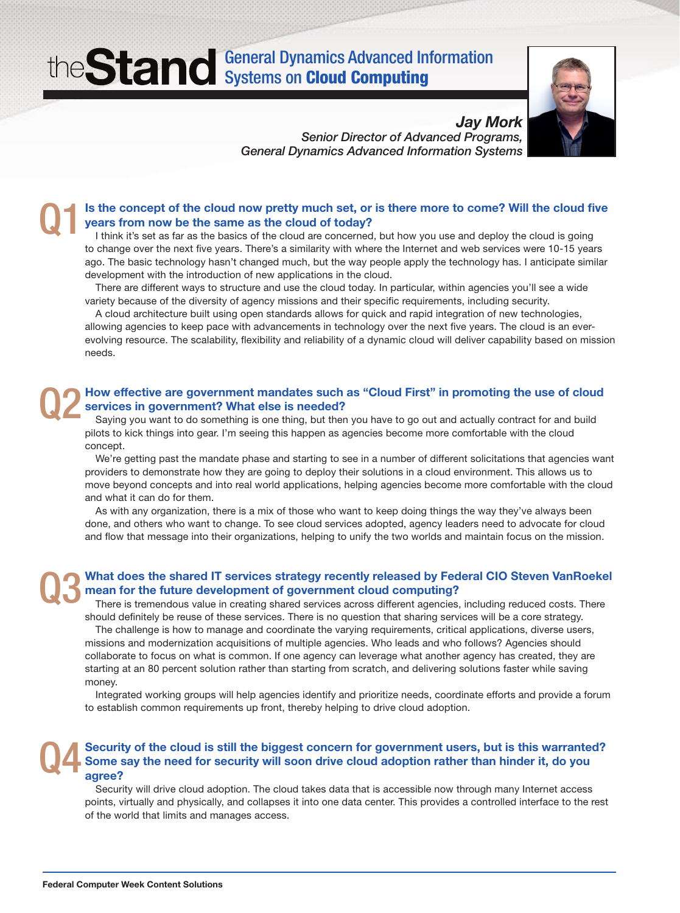## General Dynamics Advanced Information **Systems on Cloud Computing**



*Jay Mork Senior Director of Advanced Programs, General Dynamics Advanced Information Systems*

### Is the concept of the cloud now pretty much set, or is there more to come? Will the cloud five years from now be the same as the cloud of today? Q1

I think it's set as far as the basics of the cloud are concerned, but how you use and deploy the cloud is going to change over the next five years. There's a similarity with where the Internet and web services were 10-15 years ago. The basic technology hasn't changed much, but the way people apply the technology has. I anticipate similar development with the introduction of new applications in the cloud.

There are different ways to structure and use the cloud today. In particular, within agencies you'll see a wide variety because of the diversity of agency missions and their specific requirements, including security.

A cloud architecture built using open standards allows for quick and rapid integration of new technologies, allowing agencies to keep pace with advancements in technology over the next five years. The cloud is an everevolving resource. The scalability, flexibility and reliability of a dynamic cloud will deliver capability based on mission needs.

### How effective are government mandates such as "Cloud First" in promoting the use of cloud services in government? What else is needed? Q2

Saying you want to do something is one thing, but then you have to go out and actually contract for and build pilots to kick things into gear. I'm seeing this happen as agencies become more comfortable with the cloud concept.

We're getting past the mandate phase and starting to see in a number of different solicitations that agencies want providers to demonstrate how they are going to deploy their solutions in a cloud environment. This allows us to move beyond concepts and into real world applications, helping agencies become more comfortable with the cloud and what it can do for them.

As with any organization, there is a mix of those who want to keep doing things the way they've always been done, and others who want to change. To see cloud services adopted, agency leaders need to advocate for cloud and flow that message into their organizations, helping to unify the two worlds and maintain focus on the mission.

### What does the shared IT services strategy recently released by Federal CIO Steven VanRoekel mean for the future development of government cloud computing? Q3

There is tremendous value in creating shared services across different agencies, including reduced costs. There should definitely be reuse of these services. There is no question that sharing services will be a core strategy.

The challenge is how to manage and coordinate the varying requirements, critical applications, diverse users, missions and modernization acquisitions of multiple agencies. Who leads and who follows? Agencies should collaborate to focus on what is common. If one agency can leverage what another agency has created, they are starting at an 80 percent solution rather than starting from scratch, and delivering solutions faster while saving money.

Integrated working groups will help agencies identify and prioritize needs, coordinate efforts and provide a forum to establish common requirements up front, thereby helping to drive cloud adoption.

#### Security of the cloud is still the biggest concern for government users, but is this warranted? Some say the need for security will soon drive cloud adoption rather than hinder it, do you agree? Q4

Security will drive cloud adoption. The cloud takes data that is accessible now through many Internet access points, virtually and physically, and collapses it into one data center. This provides a controlled interface to the rest of the world that limits and manages access.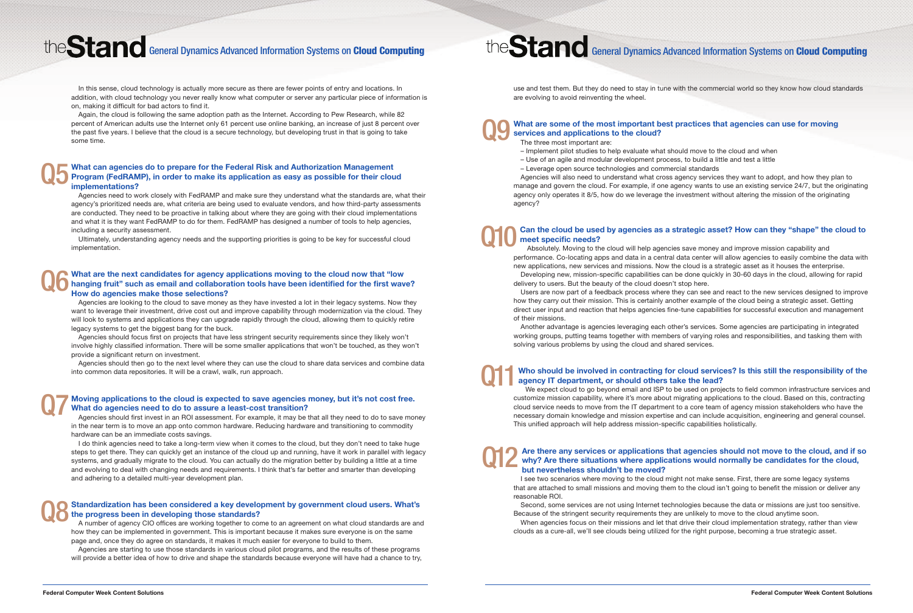- 
- 

# the Stand General Dynamics Advanced Information Systems on Cloud Computing the Stand General Dynamics Advanced Information Systems on Cloud Computing

In this sense, cloud technology is actually more secure as there are fewer points of entry and locations. In addition, with cloud technology you never really know what computer or server any particular piece of information is on, making it difficult for bad actors to find it.

Again, the cloud is following the same adoption path as the Internet. According to Pew Research, while 82 percent of American adults use the Internet only 61 percent use online banking, an increase of just 8 percent over the past five years. I believe that the cloud is a secure technology, but developing trust in that is going to take some time.

Agencies need to work closely with FedRAMP and make sure they understand what the standards are, what their agency's prioritized needs are, what criteria are being used to evaluate vendors, and how third-party assessments are conducted. They need to be proactive in talking about where they are going with their cloud implementations and what it is they want FedRAMP to do for them. FedRAMP has designed a number of tools to help agencies, including a security assessment.

Ultimately, understanding agency needs and the supporting priorities is going to be key for successful cloud implementation.

Agencies are looking to the cloud to save money as they have invested a lot in their legacy systems. Now they want to leverage their investment, drive cost out and improve capability through modernization via the cloud. They will look to systems and applications they can upgrade rapidly through the cloud, allowing them to quickly retire legacy systems to get the biggest bang for the buck.

Agencies should focus first on projects that have less stringent security requirements since they likely won't involve highly classified information. There will be some smaller applications that won't be touched, as they won't provide a significant return on investment.

#### What can agencies do to prepare for the Federal Risk and Authorization Management Program (FedRAMP), in order to make its application as easy as possible for their cloud implementations? Q5

Agencies should then go to the next level where they can use the cloud to share data services and combine data into common data repositories. It will be a crawl, walk, run approach.

#### What are the next candidates for agency applications moving to the cloud now that "low hanging fruit" such as email and collaboration tools have been identified for the first wave? How do agencies make those selections? Q6

Agencies should first invest in an ROI assessment. For example, it may be that all they need to do to save money in the near term is to move an app onto common hardware. Reducing hardware and transitioning to commodity hardware can be an immediate costs savings.

I do think agencies need to take a long-term view when it comes to the cloud, but they don't need to take huge steps to get there. They can quickly get an instance of the cloud up and running, have it work in parallel with legacy systems, and gradually migrate to the cloud. You can actually do the migration better by building a little at a time and evolving to deal with changing needs and requirements. I think that's far better and smarter than developing and adhering to a detailed multi-year development plan.

### Moving applications to the cloud is expected to save agencies money, but it's not cost free. What do agencies need to do to assure a least-cost transition? Q7

A number of agency CIO offices are working together to come to an agreement on what cloud standards are and how they can be implemented in government. This is important because it makes sure everyone is on the same page and, once they do agree on standards, it makes it much easier for everyone to build to them.

### Standardization has been considered a key development by government cloud users. What's the progress been in developing those standards? Q8

Agencies are starting to use those standards in various cloud pilot programs, and the results of these programs will provide a better idea of how to drive and shape the standards because everyone will have had a chance to try,

use and test them. But they do need to stay in tune with the commercial world so they know how cloud standards are evolving to avoid reinventing the wheel.

The three most important are:

- Implement pilot studies to help evaluate what should move to the cloud and when
- Use of an agile and modular development process, to build a little and test a little

– Leverage open source technologies and commercial standards Agencies will also need to understand what cross agency services they want to adopt, and how they plan to manage and govern the cloud. For example, if one agency wants to use an existing service 24/7, but the originating agency only operates it 8/5, how do we leverage the investment without altering the mission of the originating agency?

Absolutely. Moving to the cloud will help agencies save money and improve mission capability and performance. Co-locating apps and data in a central data center will allow agencies to easily combine the data with new applications, new services and missions. Now the cloud is a strategic asset as it houses the enterprise. Developing new, mission-specific capabilities can be done quickly in 30-60 days in the cloud, allowing for rapid

delivery to users. But the beauty of the cloud doesn't stop here.

Users are now part of a feedback process where they can see and react to the new services designed to improve how they carry out their mission. This is certainly another example of the cloud being a strategic asset. Getting direct user input and reaction that helps agencies fine-tune capabilities for successful execution and management of their missions.

### What are some of the most important best practices that agencies can use for moving services and applications to the cloud? Q9

Another advantage is agencies leveraging each other's services. Some agencies are participating in integrated working groups, putting teams together with members of varying roles and responsibilities, and tasking them with solving various problems by using the cloud and shared services.

### Can the cloud be used by agencies as a strategic asset? How can they "shape" the cloud to meet specific needs? Q10

We expect cloud to go beyond email and ISP to be used on projects to field common infrastructure services and customize mission capability, where it's more about migrating applications to the cloud. Based on this, contracting cloud service needs to move from the IT department to a core team of agency mission stakeholders who have the necessary domain knowledge and mission expertise and can include acquisition, engineering and general counsel. This unified approach will help address mission-specific capabilities holistically.

### Who should be involved in contracting for cloud services? Is this still the responsibility of the agency IT department, or should others take the lead? Q11

I see two scenarios where moving to the cloud might not make sense. First, there are some legacy systems that are attached to small missions and moving them to the cloud isn't going to benefit the mission or deliver any reasonable ROI.

#### Are there any services or applications that agencies should not move to the cloud, and if so why? Are there situations where applications would normally be candidates for the cloud, but nevertheless shouldn't be moved? Q12

Second, some services are not using Internet technologies because the data or missions are just too sensitive. Because of the stringent security requirements they are unlikely to move to the cloud anytime soon. When agencies focus on their missions and let that drive their cloud implementation strategy, rather than view clouds as a cure-all, we'll see clouds being utilized for the right purpose, becoming a true strategic asset.